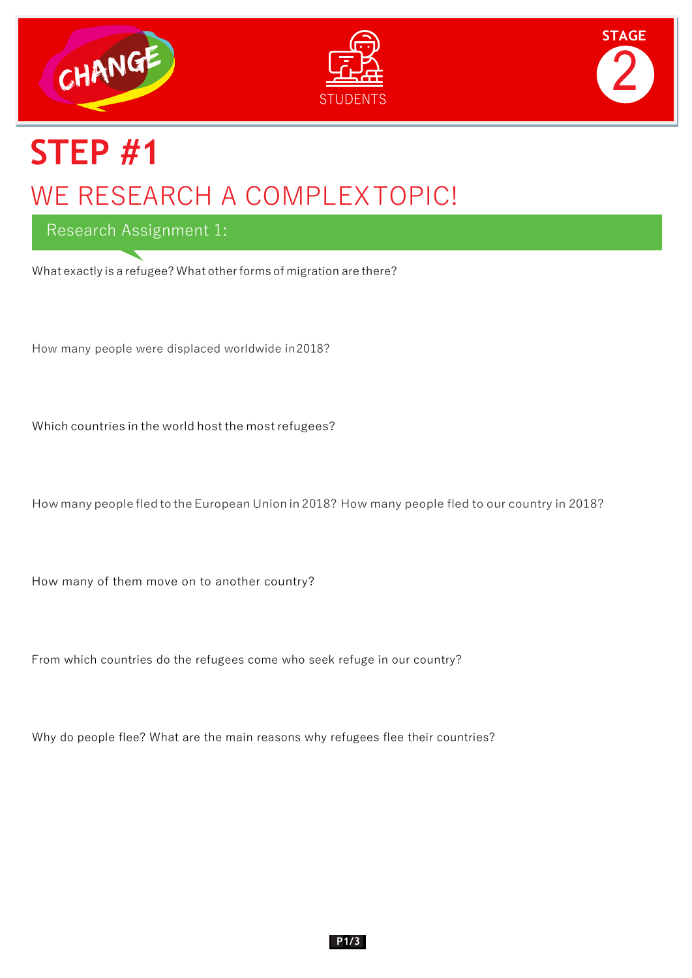





# **STEP #1** WE RESEARCH A COMPLEXTOPIC!

Research Assignment 1:

What exactly is a refugee? What other forms of migration are there?

How many people were displaced worldwide in2018?

Which countries in the world host the most refugees?

How many people fled to the European Union in 2018? How many people fled to our country in 2018?

How many of them move on to another country?

From which countries do the refugees come who seek refuge in our country?

Why do people flee? What are the main reasons why refugees flee their countries?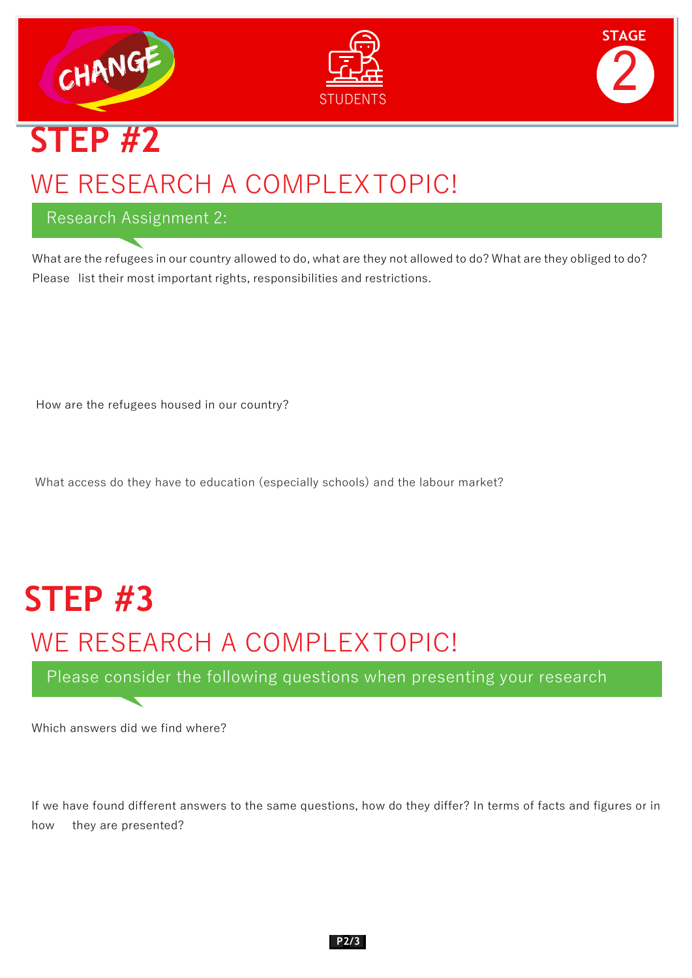





# **STEP #2** WE RESEARCH A COMPLEXTOPIC!

#### Research Assignment 2:

What are the refugees in our country allowed to do, what are they not allowed to do? What are they obliged to do? Please list their most important rights, responsibilities and restrictions.

How are the refugees housed in our country?

What access do they have to education (especially schools) and the labour market?

## **STEP #3**

### WE RESEARCH A COMPLEXTOPIC!

Please consider the following questions when presenting your research

Which answers did we find where?

If we have found different answers to the same questions, how do they differ? In terms of facts and figures or in how they are presented?